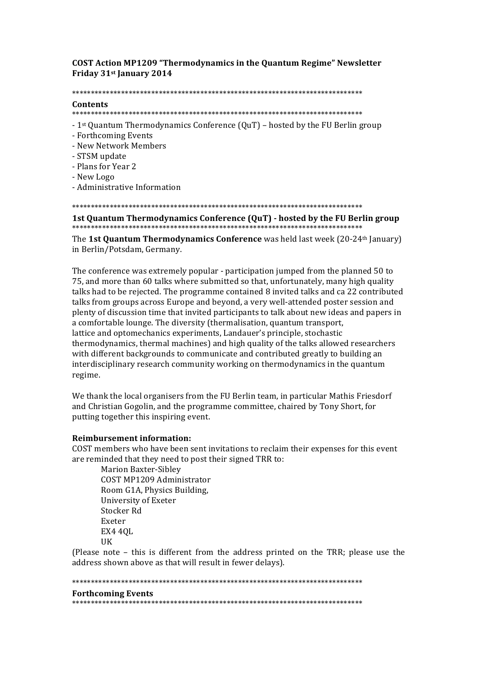**COST Action MP1209 "Thermodynamics in the Quantum Regime" Newsletter** Friday 31<sup>st</sup> January 2014

#### 

### Contents

- 
- 1<sup>st</sup> Quantum Thermodynamics Conference  $(QuT)$  hosted by the FU Berlin group
- Forthcoming Events
- New Network Members
- STSM update
- Plans for Year 2
- New Logo
- Administrative Information

1st Quantum Thermodynamics Conference (QuT) - hosted by the FU Berlin group

The 1st Quantum Thermodynamics Conference was held last week (20-24th January) in Berlin/Potsdam, Germany.

The conference was extremely popular - participation jumped from the planned 50 to 75, and more than 60 talks where submitted so that, unfortunately, many high quality talks had to be rejected. The programme contained 8 invited talks and ca 22 contributed talks from groups across Europe and beyond, a very well-attended poster session and plenty of discussion time that invited participants to talk about new ideas and papers in a comfortable lounge. The diversity (thermalisation, quantum transport, lattice and optomechanics experiments, Landauer's principle, stochastic thermodynamics, thermal machines) and high quality of the talks allowed researchers with different backgrounds to communicate and contributed greatly to building an interdisciplinary research community working on thermodynamics in the quantum regime.

We thank the local organisers from the FU Berlin team, in particular Mathis Friesdorf and Christian Gogolin, and the programme committee, chaired by Tony Short, for putting together this inspiring event.

# **Reimbursement information:**

COST members who have been sent invitations to reclaim their expenses for this event are reminded that they need to post their signed TRR to:

**Marion Baxter-Sibley** COST MP1209 Administrator Room G1A, Physics Building. University of Exeter Stocker Rd Exeter **EX4 40L UK** 

(Please note – this is different from the address printed on the TRR; please use the address shown above as that will result in fewer delays).

## 

#### **Forthcoming Events**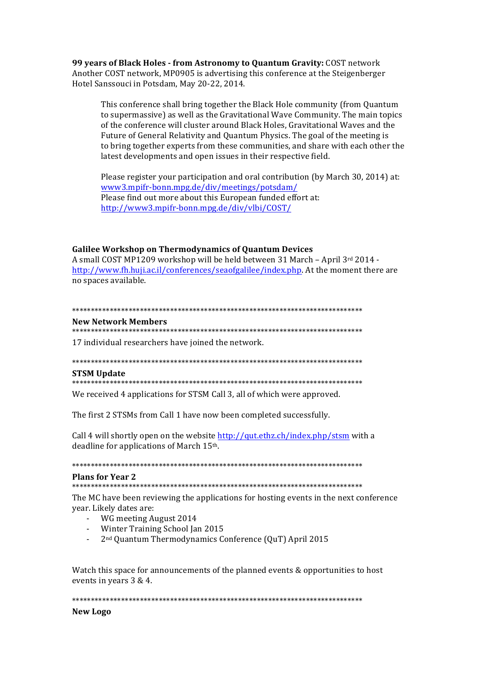99 years of Black Holes - from Astronomy to Quantum Gravity: COST network Another COST network, MP0905 is advertising this conference at the Steigenberger Hotel Sanssouci in Potsdam, May 20-22, 2014.

This conference shall bring together the Black Hole community (from Quantum to supermassive) as well as the Gravitational Wave Community. The main topics of the conference will cluster around Black Holes, Gravitational Waves and the Future of General Relativity and Quantum Physics. The goal of the meeting is to bring together experts from these communities, and share with each other the latest developments and open issues in their respective field.

Please register your participation and oral contribution (by March 30, 2014) at: www3.mpifr-bonn.mpg.de/div/meetings/potsdam/ Please find out more about this European funded effort at: http://www3.mpifr-bonn.mpg.de/div/vlbi/COST/

# **Galilee Workshop on Thermodynamics of Quantum Devices**

A small COST MP1209 workshop will be held between 31 March - April 3rd 2014 http://www.fh.huji.ac.il/conferences/seaofgalilee/index.php. At the moment there are no spaces available.

# 

## **New Network Members**

17 individual researchers have joined the network.

## **STSM Update**

We received 4 applications for STSM Call 3, all of which were approved.

The first 2 STSMs from Call 1 have now been completed successfully.

Call 4 will shortly open on the website http://gut.ethz.ch/index.php/stsm with a deadline for applications of March 15th.

#### **Plans for Year 2**

The MC have been reviewing the applications for hosting events in the next conference year. Likely dates are:

- WG meeting August 2014
- Winter Training School Jan 2015
- 2<sup>nd</sup> Quantum Thermodynamics Conference (QuT) April 2015

Watch this space for announcements of the planned events & opportunities to host events in years 3 & 4.

# **New Logo**